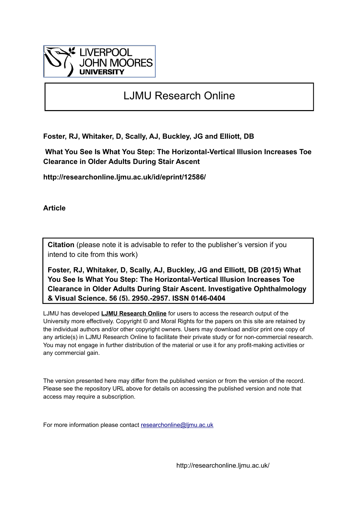

# LJMU Research Online

**Foster, RJ, Whitaker, D, Scally, AJ, Buckley, JG and Elliott, DB**

 **What You See Is What You Step: The Horizontal-Vertical Illusion Increases Toe Clearance in Older Adults During Stair Ascent**

**http://researchonline.ljmu.ac.uk/id/eprint/12586/**

**Article**

**Citation** (please note it is advisable to refer to the publisher's version if you intend to cite from this work)

**Foster, RJ, Whitaker, D, Scally, AJ, Buckley, JG and Elliott, DB (2015) What You See Is What You Step: The Horizontal-Vertical Illusion Increases Toe Clearance in Older Adults During Stair Ascent. Investigative Ophthalmology & Visual Science, 56 (5). 2950.-2957. ISSN 0146-0404** 

LJMU has developed **[LJMU Research Online](http://researchonline.ljmu.ac.uk/)** for users to access the research output of the University more effectively. Copyright © and Moral Rights for the papers on this site are retained by the individual authors and/or other copyright owners. Users may download and/or print one copy of any article(s) in LJMU Research Online to facilitate their private study or for non-commercial research. You may not engage in further distribution of the material or use it for any profit-making activities or any commercial gain.

The version presented here may differ from the published version or from the version of the record. Please see the repository URL above for details on accessing the published version and note that access may require a subscription.

For more information please contact [researchonline@ljmu.ac.uk](mailto:researchonline@ljmu.ac.uk)

http://researchonline.ljmu.ac.uk/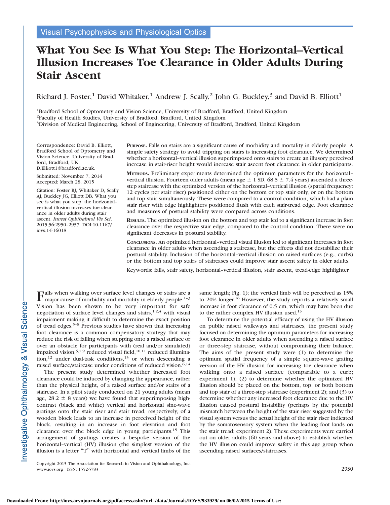# What You See Is What You Step: The Horizontal–Vertical Illusion Increases Toe Clearance in Older Adults During Stair Ascent

Richard J. Foster,<sup>1</sup> David Whitaker,<sup>1</sup> Andrew J. Scally,<sup>2</sup> John G. Buckley,<sup>3</sup> and David B. Elliott<sup>1</sup>

1Bradford School of Optometry and Vision Science, University of Bradford, Bradford, United Kingdom

2Faculty of Health Studies, University of Bradford, Bradford, United Kingdom

3Division of Medical Engineering, School of Engineering, University of Bradford, Bradford, United Kingdom

Correspondence: David B. Elliott, Bradford School of Optometry and Vision Science, University of Bradford, Bradford, UK; D.Elliott1@bradford.ac.uk.

Submitted: November 7, 2014 Accepted: March 28, 2015

Citation: Foster RJ, Whitaker D, Scally AJ, Buckley JG, Elliott DB. What you see is what you step: the horizontal– vertical illusion increases toe clearance in older adults during stair ascent. Invest Ophthalmol Vis Sci. 2015;56:2950–2957. DOI:10.1167/ iovs.14-16018

PURPOSE. Falls on stairs are a significant cause of morbidity and mortality in elderly people. A simple safety strategy to avoid tripping on stairs is increasing foot clearance. We determined whether a horizontal–vertical illusion superimposed onto stairs to create an illusory perceived increase in stair-riser height would increase stair ascent foot clearance in older participants.

METHODS. Preliminary experiments determined the optimum parameters for the horizontal– vertical illusion. Fourteen older adults (mean age  $\pm$  1 SD, 68.5  $\pm$  7.4 years) ascended a threestep staircase with the optimized version of the horizontal–vertical illusion (spatial frequency: 12 cycles per stair riser) positioned either on the bottom or top stair only, or on the bottom and top stair simultaneously. These were compared to a control condition, which had a plain stair riser with edge highlighters positioned flush with each stair-tread edge. Foot clearance and measures of postural stability were compared across conditions.

RESULTS. The optimized illusion on the bottom and top stair led to a significant increase in foot clearance over the respective stair edge, compared to the control condition. There were no significant decreases in postural stability.

CONCLUSIONS. An optimized horizontal–vertical visual illusion led to significant increases in foot clearance in older adults when ascending a staircase, but the effects did not destabilize their postural stability. Inclusion of the horizontal–vertical illusion on raised surfaces (e.g., curbs) or the bottom and top stairs of staircases could improve stair ascent safety in older adults.

Keywords: falls, stair safety, horizontal–vertical illusion, stair ascent, tread-edge highlighter

Falls when walking over surface level changes or stairs are a major cause of morbidity and mortality in elderly people.<sup>1-3</sup> Vision has been shown to be very important for safe negotiation of surface level changes and stairs, $1,2,4$  with visual impairment making it difficult to determine the exact position of tread edges.5–8 Previous studies have shown that increasing foot clearance is a common compensatory strategy that may reduce the risk of falling when stepping onto a raised surface or over an obstacle for participants with (real and/or simulated) impaired vision,  $5,7,9$  reduced visual field,  $10,11$  reduced illumination,<sup>12</sup> under dual-task conditions,<sup>13</sup> or when descending a raised surface/staircase under conditions of reduced vision. $6,14$ 

The present study determined whether increased foot clearance could be induced by changing the appearance, rather than the physical height, of a raised surface and/or stairs of a staircase. In a pilot study conducted on 21 young adults (mean age,  $28.2 \pm 8$  years) we have found that superimposing highcontrast (black and white) vertical and horizontal sine-wave gratings onto the stair riser and stair tread, respectively, of a wooden block leads to an increase in perceived height of the block, resulting in an increase in foot elevation and foot clearance over the block edge in young participants.<sup>15</sup> This arrangement of gratings creates a bespoke version of the horizontal–vertical (HV) illusion (the simplest version of the illusion is a letter ''T'' with horizontal and vertical limbs of the

Copyright 2015 The Association for Research in Vision and Ophthalmology, Inc. www.iovs.org | ISSN: 1552-5783 2950

same length; Fig. 1); the vertical limb will be perceived as 15% to 20% longer.<sup>16</sup> However, the study reports a relatively small increase in foot clearance of 0.5 cm, which may have been due to the rather complex HV illusion used.<sup>15</sup>

To determine the potential efficacy of using the HV illusion on public raised walkways and staircases, the present study focused on determining the optimum parameters for increasing foot clearance in older adults when ascending a raised surface or three-step staircase, without compromising their balance. The aims of the present study were (1) to determine the optimum spatial frequency of a simple square-wave grating version of the HV illusion for increasing toe clearance when walking onto a raised surface (comparable to a curb; experiment 1); (2) to determine whether the optimized HV illusion should be placed on the bottom, top, or both bottom and top stair of a three-step staircase (experiment 2); and (3) to determine whether any increased foot clearance due to the HV illusion caused postural instability (perhaps by the potential mismatch between the height of the stair riser suggested by the visual system versus the actual height of the stair riser indicated by the somatosensory system when the leading foot lands on the stair tread; experiment 2). These experiments were carried out on older adults (60 years and above) to establish whether the HV illusion could improve safety in this age group when ascending raised surfaces/staircases.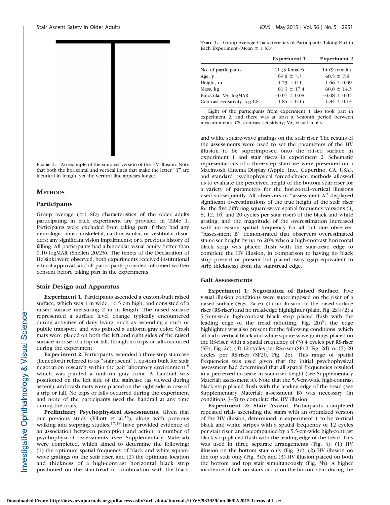

FIGURE 1. An example of the simplest version of the HV illusion. Note that both the horizontal and vertical lines that make the letter ''T'' are identical in length, yet the vertical line appears longer.

# **METHODS**

## Participants

Group average  $(\pm 1 \text{ SD})$  characteristics of the older adults participating in each experiment are provided in Table 1. Participants were excluded from taking part if they had any neurologic, musculoskeletal, cardiovascular, or vestibular disorders; any significant vision impairments; or a previous history of falling. All participants had a binocular visual acuity better than 0.10 logMAR (Snellen 20/25). The tenets of the Declaration of Helsinki were observed, both experiments received institutional ethical approval, and all participants provided informed written consent before taking part in the experiments.

# Stair Design and Apparatus

Experiment 1. Participants ascended a custom-built raised surface, which was 1 m wide, 16.5 cm high, and consisted of a raised surface measuring 2 m in length. The raised surface represented a surface level change typically encountered during activities of daily living, such as ascending a curb or public transport, and was painted a uniform gray color. Crash mats were placed on both the left and right sides of the raised surface in case of a trip or fall, though no trips or falls occurred during the experiment.

Experiment 2. Participants ascended a three-step staircase (henceforth referred to as ''stair ascent''), custom built for stair negotiation research within the gait laboratory environment,<sup>8</sup> which was painted a uniform gray color. A handrail was positioned on the left side of the staircase (as viewed during ascent), and crash mats were placed on the right side in case of a trip or fall. No trips or falls occurred during the experiment and none of the participants used the handrail at any time during the trials.

Preliminary Psychophysical Assessments. Given that our previous study (Elliott et al.<sup>15</sup>), along with previous walking and stepping studies,<sup>17,18</sup> have provided evidence of an association between perception and action, a number of psychophysical assessments (see Supplementary Material) were completed, which aimed to determine the following: (1) the optimum spatial frequency of black and white squarewave gratings on the stair riser, and (2) the optimum location and thickness of a high-contrast horizontal black strip positioned on the stair-tread in combination with the black

| <b>TABLE 1.</b> Group Average Characteristics of Participants Taking Part in |  |
|------------------------------------------------------------------------------|--|
| Each Experiment (Mean $\pm$ 1 SD)                                            |  |

|                              | <b>Experiment 1</b> | <b>Experiment 2</b> |
|------------------------------|---------------------|---------------------|
| No. of participants          | 11 (3 female)       | $14(9$ female)      |
| Age, y                       | $69.8 \pm 7.3$      | $68.5 \pm 7.4$      |
| Height, m                    | $1.73 \pm 0.1$      | $1.66 \pm 0.09$     |
| Mass, kg                     | $81.3 \pm 17.4$     | $68.8 \pm 14.3$     |
| Binocular VA, logMAR         | $-0.07 \pm 0.08$    | $-0.08 \pm 0.07$    |
| Contrast sensitivity, log CS | $1.85 \pm 0.14$     | $1.84 \pm 0.13$     |

Eight of the participants from experiment 1 also took part in experiment 2, and there was at least a 3-month period between measurements. CS, contrast sensitivity; VA, visual acuity.

and white square-wave gratings on the stair riser. The results of the assessments were used to set the parameters of the HV illusion to be superimposed onto the raised surface in experiment 1 and stair risers in experiment 2. Schematic representations of a three-step staircase were presented on a Macintosh Cinema Display (Apple, Inc., Cupertino, CA, USA), and standard psychophysical forced-choice methods allowed us to evaluate the perceived height of the bottom stair riser for a variety of parameters for the horizontal–vertical illusions used subsequently. All observers in "assessment A" displayed significant overestimations of the true height of the stair riser for the five differing square-wave spatial frequency versions (4, 8, 12, 16, and 20 cycles per stair riser) of the black and white grating, and the magnitude of the overestimation increased with increasing spatial frequency for all but one observer. ''Assessment B'' demonstrated that observers overestimated stair-riser height by up to 20% when a high-contrast horizontal black strip was placed flush with the stair-tread edge to complete the HV illusion, in comparison to having no black strip present or present but placed away (gap equivalent to strip thickness) from the stair-tread edge.

## Gait Assessments

Experiment 1: Negotiation of Raised Surface. Five visual illusion conditions were superimposed on the riser of a raised surface (Figs. 2a–e): (1) no illusion on the raised surface riser (RS-riser) and no tread-edge highlighter (plain, Fig. 2a); (2) a 5.5-cm-wide high-contrast black strip placed flush with the leading edge of the tread (abutting, Fig. 2b)<sup>8</sup>; the edge highlighter was also present for the following conditions, which all had a vertical black and white square-wave gratings placed on the RS-riser, with a spatial frequency of (3) 4 cycles per RS-riser (SF4, Fig. 2c); (4) 12 cycles per RS-riser (SF12, Fig. 2d); or (5) 20 cycles per RS-riser (SF20, Fig. 2e). This range of spatial frequencies was used given that the initial psychophysical assessment had determined that all spatial frequencies resulted in a perceived increase in stair-riser height (see Supplementary Material; assessment A). Note that the 5.5-cm-wide high-contrast black strip placed flush with the leading edge of the tread (see Supplementary Material; assessment B) was necessary (in conditions 3–5) to complete the HV illusion.

Experiment 2: Stair Ascent. Participants completed repeated trials ascending the stairs with an optimized version of the HV illusion, determined in experiment 1 to be vertical black and white stripes with a spatial frequency of 12 cycles per stair riser, and accompanied by a 5.5-cm-wide high-contrast black strip placed flush with the leading edge of the tread. This was used in three separate arrangements (Fig. 3): (1) HV illusion on the bottom stair only (Fig. 3c); (2) HV illusion on the top stair only (Fig. 3d); and (3) HV illusion placed on both the bottom and top stair simultaneously (Fig. 3b). A higher incidence of falls on stairs occur on the bottom stair during the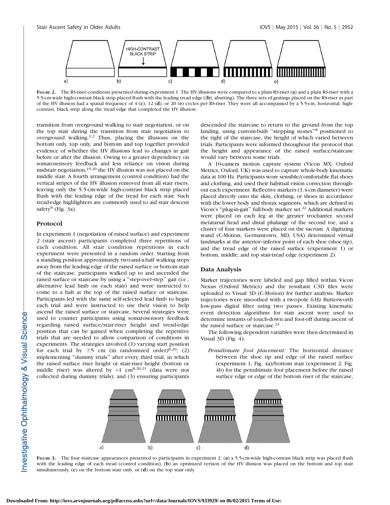

FIGURE 2. The RS-riser conditions presented during experiment 1. The HV illusions were compared to a plain RS-riser (a) and a plain RS-riser with a 5.5-cm-wide high-contrast black strip placed flush with the leading tread edge ([b], abutting). The three sets of gratings placed on the RS-riser as part of the HV illusion had a spatial frequency of 4 (c), 12 (d), or 20 (e) cycles per RS-riser. They were all accompanied by a 5.5-cm, horizontal, highcontrast, black strip along the tread edge that completed the HV illusion.

transition from overground walking to stair negotiation, or on the top stair during the transition from stair negotiation to overground walking.1,2 Thus, placing the illusions on the bottom only, top only, and bottom and top together provided evidence of whether the HV illusions lead to changes in gait before or after the illusion. Owing to a greater dependency on somatosensory feedback and less reliance on vision during midstair negotiation, $19,20$  the HV illusion was not placed on the middle stair. A fourth arrangement (control condition) had the vertical stripes of the HV illusion removed from all stair risers, leaving only the 5.5-cm-wide high-contrast black strip placed flush with the leading edge of the tread for each stair. Such tread-edge highlighters are commonly used to aid stair descent safety<sup>8</sup> (Fig. 3a).

# Protocol

In experiment 1 (negotiation of raised surface) and experiment 2 (stair ascent) participants completed three repetitions of each condition. All stair condition repetitions in each experiment were presented in a random order. Starting from a standing position approximately two-and-a-half walking steps away from the leading edge of the raised surface or bottom stair of the staircase, participants walked up to and ascended the raised surface or staircase by using a ''step-over-step'' gait (i.e., alternative lead limb on each stair) and were instructed to come to a halt at the top of the raised surface or staircase. Participants led with the same self-selected lead limb to begin each trial and were instructed to use their vision to help ascend the raised surface or staircase. Several strategies were used to counter participants using somatosensory feedback regarding raised surface/stair-riser height and tread-edge position that can be gained when completing the repetitive trials that are needed to allow comparison of conditions in experiments. The strategies involved (1) varying start position for each trial by  $\pm 5$  cm (in randomized order)<sup>8,20</sup>; (2) implementing ''dummy trials'' after every third trial, in which the raised surface riser height or stair-riser height (bottom or middle riser) was altered by  $+1$  cm<sup>8,20,21</sup> (data were not collected during dummy trials); and (3) ensuring participants descended the staircase to return to the ground from the top landing, using custom-built ''stepping stones''<sup>8</sup> positioned to the right of the staircase, the height of which varied between trials. Participants were informed throughout the protocol that the height and appearance of the raised surface/staircase would vary between some trials.

A 10-camera motion capture system (Vicon MX; Oxford Metrics, Oxford, UK) was used to capture whole-body kinematic data at 100 Hz. Participants wore sensible/comfortable flat shoes and clothing, and used their habitual vision correction throughout each experiment. Reflective markers (1.4-cm diameter) were placed directly onto the skin, clothing, or shoes in accordance with the lower body and thorax segments, which are defined in Vicon's ''plug-in-gait'' full-body marker set.22 Additional markers were placed on each leg at the greater trochanter, second metatarsal head and distal phalange of the second toe, and a cluster of four markers were placed on the sacrum. A digitizing wand (C-Motion, Germantown, MD, USA) determined virtual landmarks at the anterior–inferior point of each shoe (shoe tip), and the tread edge of the raised surface (experiment 1) or bottom, middle, and top stair-tread edge (experiment 2).

## Data Analysis

Marker trajectories were labeled and gap filled within Vicon Nexus (Oxford Metrics) and the resultant C3D files were uploaded to Visual 3D (C-Motion) for further analysis. Marker trajectories were smoothed with a two-pole 6-Hz Butterworth low-pass digital filter using two passes. Existing kinematic event detection algorithms for stair ascent were used to determine instants of touch-down and foot-off during ascent of the raised surface or staircase.<sup>23</sup>

The following dependent variables were then determined in Visual 3D (Fig. 4):

Penultimate foot placement: The horizontal distance between the shoe tip and edge of the raised surface (experiment 1; Fig. 4a)/bottom stair (experiment 2; Fig. 4b) for the penultimate foot placement before the raised surface edge or edge of the bottom riser of the staircase,



FIGURE 3. The four staircase appearances presented to participants in experiment 2: (a) a 5.5-cm-wide high-contrast black strip was placed flush with the leading edge of each tread (control condition), (b) an optimized version of the HV illusion was placed on the bottom and top stair simultaneously, (c) on the bottom stair only, or (d) on the top stair only.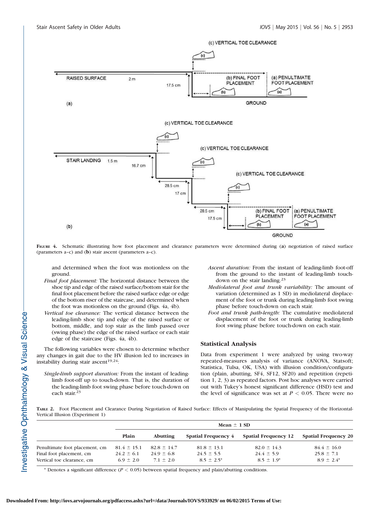

FIGURE 4. Schematic illustrating how foot placement and clearance parameters were determined during (a) negotiation of raised surface (parameters a–c) and (b) stair ascent (parameters a–c).

and determined when the foot was motionless on the ground.

- Final foot placement: The horizontal distance between the shoe tip and edge of the raised surface/bottom stair for the final foot placement before the raised surface edge or edge of the bottom riser of the staircase, and determined when the foot was motionless on the ground (Figs. 4a, 4b).
- Vertical toe clearance: The vertical distance between the leading-limb shoe tip and edge of the raised surface or bottom, middle, and top stair as the limb passed over (swing phase) the edge of the raised surface or each stair edge of the staircase (Figs. 4a, 4b).

The following variables were chosen to determine whether any changes in gait due to the HV illusion led to increases in instability during stair ascent<sup>19,24</sup>:

Single-limb support duration: From the instant of leadinglimb foot-off up to touch-down. That is, the duration of the leading-limb foot swing phase before touch-down on each stair.<sup>23</sup>

- Ascent duration: From the instant of leading-limb foot-off from the ground to the instant of leading-limb touchdown on the stair landing.<sup>23</sup>
- Mediolateral foot and trunk variability: The amount of variation (determined as 1 SD) in mediolateral displacement of the foot or trunk during leading-limb foot swing phase before touch-down on each stair.
- Foot and trunk path-length: The cumulative mediolateral displacement of the foot or trunk during leading-limb foot swing phase before touch-down on each stair.

# Statistical Analysis

Data from experiment 1 were analyzed by using two-way repeated-measures analysis of variance (ANOVA, Statsoft; Statistica, Tulsa, OK, USA) with illusion condition/configuration (plain, abutting, SF4, SF12, SF20) and repetition (repetition 1, 2, 3) as repeated factors. Post hoc analyses were carried out with Tukey's honest significant difference (HSD) test and the level of significance was set at  $P < 0.05$ . There were no

TABLE 2. Foot Placement and Clearance During Negotiation of Raised Surface: Effects of Manipulating the Spatial Frequency of the Horizontal-Vertical Illusion (Experiment 1)

|                                                                                          | Mean $\pm$ 1 SD                                    |                                                    |                                                      |                                                      |                                                      |
|------------------------------------------------------------------------------------------|----------------------------------------------------|----------------------------------------------------|------------------------------------------------------|------------------------------------------------------|------------------------------------------------------|
|                                                                                          | Plain                                              | Abutting                                           | <b>Spatial Frequency 4</b>                           | <b>Spatial Frequency 12</b>                          | <b>Spatial Frequency 20</b>                          |
| Penultimate foot placement, cm<br>Final foot placement, cm<br>Vertical toe clearance, cm | $81.4 \pm 15.1$<br>$24.2 \pm 6.1$<br>$6.9 \pm 2.0$ | $82.8 \pm 14.7$<br>$24.9 \pm 6.8$<br>$7.1 \pm 2.0$ | $81.8 \pm 13.1$<br>$24.5 \pm 5.5$<br>$8.5 \pm 2.5^*$ | $82.0 \pm 14.3$<br>$24.4 \pm 5.9$<br>$8.5 \pm 1.9^*$ | $84.4 \pm 16.0$<br>$25.8 \pm 7.1$<br>$8.9 \pm 2.4^*$ |

\* Denotes a significant difference ( $P < 0.05$ ) between spatial frequency and plain/abutting conditions.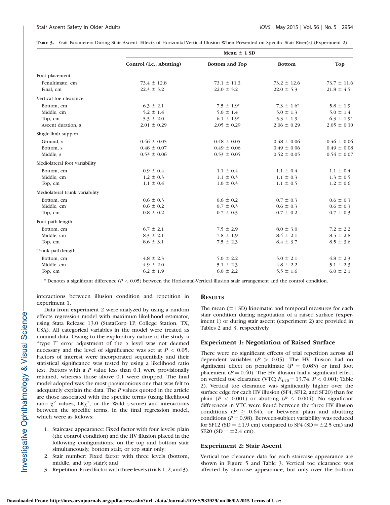|  |  |  | TABLE 3. Gait Parameters During Stair Ascent: Effects of Horizontal-Vertical Illusion When Presented on Specific Stair Riser(s) (Experiment 2) |  |
|--|--|--|------------------------------------------------------------------------------------------------------------------------------------------------|--|
|--|--|--|------------------------------------------------------------------------------------------------------------------------------------------------|--|

|                                | Mean $\pm$ 1 SD          |                       |                 |                 |  |
|--------------------------------|--------------------------|-----------------------|-----------------|-----------------|--|
|                                | Control (i.e., Abutting) | <b>Bottom and Top</b> | <b>Bottom</b>   | <b>Top</b>      |  |
| Foot placement                 |                          |                       |                 |                 |  |
| Penultimate, cm                | $73.4 \pm 12.8$          | $73.1 \pm 11.3$       | $73.2 \pm 12.6$ | $73.7 \pm 11.6$ |  |
| Final, cm                      | $22.3 \pm 5.2$           | $22.0 \pm 5.2$        | $22.0 \pm 5.3$  | $21.8 \pm 4.5$  |  |
| Vertical toe clearance         |                          |                       |                 |                 |  |
| Bottom, cm                     | $6.3 \pm 2.1$            | $7.5 \pm 1.9^*$       | $7.3 \pm 1.6^*$ | $5.8 \pm 1.9$   |  |
| Middle, cm                     | $5.2 \pm 1.4$            | $5.0 \pm 1.4$         | $5.0 \pm 1.3$   | $5.0 \pm 1.4$   |  |
| Top, cm                        | $5.3 \pm 2.0$            | $6.1 \pm 1.9^*$       | $5.3 \pm 1.9$   | $6.3 \pm 1.9^*$ |  |
| Ascent duration, s             | $2.01 \pm 0.29$          | $2.05 \pm 0.29$       | $2.06 \pm 0.29$ | $2.05 \pm 0.30$ |  |
| Single-limb support            |                          |                       |                 |                 |  |
| Ground, s                      | $0.46 \pm 0.05$          | $0.48 \pm 0.05$       | $0.48 \pm 0.06$ | $0.46 \pm 0.06$ |  |
| Bottom, s                      | $0.48 \pm 0.07$          | $0.49 \pm 0.06$       | $0.49 \pm 0.06$ | $0.49 \pm 0.08$ |  |
| Middle, s                      | $0.53 \pm 0.06$          | $0.53 \pm 0.05$       | $0.52 \pm 0.05$ | $0.54 \pm 0.07$ |  |
| Mediolateral foot variability  |                          |                       |                 |                 |  |
| Bottom, cm                     | $0.9 \pm 0.4$            | $1.1 \pm 0.4$         | $1.1 \pm 0.4$   | $1.1 \pm 0.4$   |  |
| Middle, cm                     | $1.2 \pm 0.3$            | $1.1 \pm 0.3$         | $1.1 \pm 0.3$   | $1.3 \pm 0.5$   |  |
| Top, cm                        | $1.1 \pm 0.4$            | $1.0 \pm 0.3$         | $1.1 \pm 0.5$   | $1.2 \pm 0.6$   |  |
| Mediolateral trunk variability |                          |                       |                 |                 |  |
| Bottom, cm                     | $0.6 \pm 0.3$            | $0.6 \pm 0.2$         | $0.7 \pm 0.3$   | $0.6 \pm 0.3$   |  |
| Middle, cm                     | $0.6 \pm 0.2$            | $0.7 \pm 0.3$         | $0.6 \pm 0.3$   | $0.6 \pm 0.3$   |  |
| Top, cm                        | $0.8 \pm 0.2$            | $0.7 \pm 0.3$         | $0.7 \pm 0.2$   | $0.7 \pm 0.3$   |  |
| Foot path-length               |                          |                       |                 |                 |  |
| Bottom, cm                     | $6.7 \pm 2.1$            | $7.5 \pm 2.9$         | $8.0 \pm 3.0$   | $7.2 \pm 2.2$   |  |
| Middle, cm                     | $8.3 \pm 2.1$            | $7.8 \pm 1.9$         | $8.4 \pm 2.1$   | $8.5 \pm 2.8$   |  |
| Top, cm                        | $8.6 \pm 3.1$            | $7.5 \pm 2.3$         | $8.4 \pm 3.7$   | $8.5 \pm 3.6$   |  |
| Trunk path-length              |                          |                       |                 |                 |  |
| Bottom, cm                     | $4.8 \pm 2.3$            | $5.0 \pm 2.2$         | $5.0 \pm 2.1$   | $4.8 \pm 2.3$   |  |
| Middle, cm                     | $4.9 \pm 2.0$            | $5.1 \pm 2.3$         | $4.8 \pm 2.2$   | $5.1 \pm 2.3$   |  |
| Top, cm                        | $6.2 \pm 1.9$            | $6.0 \pm 2.2$         | $5.5 \pm 1.6$   | $6.0 \pm 2.1$   |  |

\* Denotes a significant difference (P < 0.05) between the Horizontal-Vertical illusion stair arrangement and the control condition.

interactions between illusion condition and repetition in experiment 1.

#### **RESULTS**

Data from experiment 2 were analyzed by using a random effects regression model with maximum likelihood estimator, using Stata Release 13.0 (StataCorp LP, College Station, TX, USA). All categorical variables in the model were treated as nominal data. Owing to the exploratory nature of the study, a "type I" error adjustment of the  $\alpha$  level was not deemed necessary and the level of significance was set at  $P < 0.05$ . Factors of interest were incorporated sequentially and their statistical significance was tested by using a likelihood ratio test. Factors with a  $P$  value less than 0.1 were provisionally retained, whereas those above 0.1 were dropped. The final model adopted was the most parsimonious one that was felt to adequately explain the data. The P values quoted in the article are those associated with the specific terms (using likelihood ratio  $\chi^2$  values, LR $\chi^2$ , or the Wald *z*-score) and interactions between the specific terms, in the final regression model, which were as follows:

- 1. Staircase appearance: Fixed factor with four levels: plain (the control condition) and the HV illusion placed in the following configurations: on the top and bottom stair simultaneously, bottom stair, or top stair only;
- 2. Stair number: Fixed factor with three levels (bottom, middle, and top stair); and
- 3. Repetition: Fixed factor with three levels (trials 1, 2, and 3).

The mean  $(\pm 1$  SD) kinematic and temporal measures for each stair condition during negotiation of a raised surface (experiment 1) or during stair ascent (experiment 2) are provided in Tables 2 and 3, respectively.

## Experiment 1: Negotiation of Raised Surface

There were no significant effects of trial repetition across all dependent variables ( $P > 0.05$ ). The HV illusion had no significant effect on penultimate ( $P = 0.083$ ) or final foot placement ( $P = 0.40$ ). The HV illusion had a significant effect on vertical toe clearance (VTC;  $F_{4,40} = 13.74$ ,  $P < 0.001$ ; Table 2). Vertical toe clearance was significantly higher over the surface edge for each HV illusion (SF4, SF12, and SF20) than for plain ( $P < 0.001$ ) or abutting ( $P \le 0.004$ ). No significant differences in VTC were found between the three HV illusion conditions ( $P \ge 0.64$ ), or between plain and abutting conditions ( $P = 0.98$ ). Between-subject variability was reduced for SF12 (SD =  $\pm$ 1.9 cm) compared to SF4 (SD =  $\pm$ 2.5 cm) and SF20 (SD =  $\pm 2.4$  cm).

# Experiment 2: Stair Ascent

Vertical toe clearance data for each staircase appearance are shown in Figure 5 and Table 3. Vertical toe clearance was affected by staircase appearance, but only over the bottom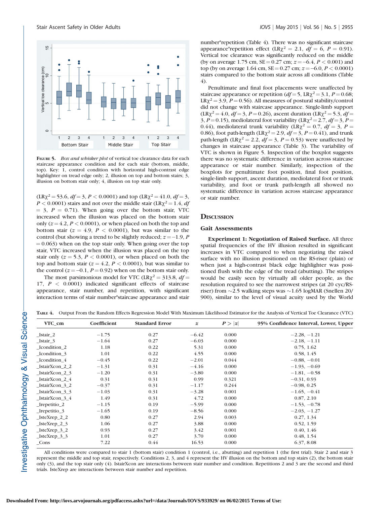

FIGURE 5. Box and whisker plot of vertical toe clearance data for each staircase appearance condition and for each stair (bottom, middle, top). Key: 1, control condition with horizontal high-contrast edge highlighter on tread edge only; 2, illusion on top and bottom stairs; 3, illusion on bottom stair only; 4, illusion on top stair only.

 $(LR\chi^2 = 53.6, df = 3, P < 0.0001)$  and top  $(LR\chi^2 = 41.0, df = 3,$  $P < 0.0001$ ) stairs and not over the middle stair (LR $\chi^2 = 1.4$ , df  $= 3$ ,  $P = 0.71$ ). When going over the bottom stair, VTC increased when the illusion was placed on the bottom stair only  $(z=4.2, P < 0.0001)$ , or when placed on both the top and bottom stair  $(z = 4.9, P < 0.0001)$ , but was similar to the control (but showing a trend to be slightly reduced;  $z = -1.9$ , P  $(0.063)$  when on the top stair only. When going over the top stair, VTC increased when the illusion was placed on the top stair only  $(z = 5.3, P < 0.0001)$ , or when placed on both the top and bottom stair ( $z = 4.2$ ,  $P < 0.0001$ ), but was similar to the control  $(z = -0.1, P = 0.92)$  when on the bottom stair only.

The most parsimonious model for VTC (LR $\chi^2$  = 313.8,  $df$  = 17, P < 0.0001) indicated significant effects of staircase appearance, stair number, and repetition, with significant interaction terms of stair number\*staircase appearance and stair number\*repetition (Table 4). There was no significant staircase appearance\*repetition effect (LR $\chi^2 = 2.1$ ,  $df = 6$ ,  $P = 0.91$ ). Vertical toe clearance was significantly reduced on the middle (by on average 1.75 cm,  $SE = 0.27$  cm;  $z = -6.4$ ,  $P < 0.001$ ) and top (by on average 1.64 cm,  $SE = 0.27$  cm;  $z = -6.0, P < 0.0001$ ) stairs compared to the bottom stair across all conditions (Table 4).

Penultimate and final foot placements were unaffected by staircase appearance or repetition ( $df = 5$ , LR $\chi^2 = 3.1$ ,  $P = 0.68$ ;  $LR\chi^2 = 3.9, P = 0.56$ . All measures of postural stability/control did not change with staircase appearance. Single-limb support  $(LR\chi^2 = 4.0, df = 3, P = 0.26)$ , ascent duration  $(LR\chi^2 = 5.3, df = 1.5$ 3, P = 0.15), mediolateral foot variability (LR $\chi^2$  = 2.7, df = 3, P = 0.44), mediolateral trunk variability (LR $\chi^2 = 0.7$ ,  $df = 3$ , P = 0.86), foot path-length (LR $\chi^2$  = 2.9,  $df$  = 3, P = 0.41), and trunk path-length (LR $\chi^2$  = 2.2,  $df$  = 3, P = 0.53) were unaffected by changes in staircase appearance (Table 3). The variability of VTC is shown in Figure 5. Inspection of the boxplot suggests there was no systematic difference in variation across staircase appearance or stair number. Similarly, inspection of the boxplots for penultimate foot position, final foot position, single-limb support, ascent duration, mediolateral foot or trunk variability, and foot or trunk path-length all showed no systematic difference in variation across staircase appearance or stair number.

# **DISCUSSION**

#### Gait Assessments

Experiment 1: Negotiation of Raised Surface. All three spatial frequencies of the HV illusion resulted in significant increases in VTC compared to when negotiating the raised surface with no illusion positioned on the RS-riser (plain) or when just a high-contrast black edge highlighter was positioned flush with the edge of the tread (abutting). The stripes would be easily seen by virtually all older people, as the resolution required to see the narrowest stripes (at 20 cyc/RSriser) from  $\sim$ 2.5 walking steps was  $\sim$ 1.65 logMAR (Snellen 20/ 900), similar to the level of visual acuity used by the World

TABLE 4. Output From the Random Effects Regression Model With Maximum Likelihood Estimator for the Analysis of Vertical Toe Clearance (VTC)

| VTC_cm                                      | Coefficient | <b>Standard Error</b> | $\boldsymbol{z}$ | P> z  | 95% Confidence Interval, Lower, Upper |
|---------------------------------------------|-------------|-----------------------|------------------|-------|---------------------------------------|
| _Istair_2                                   | $-1.75$     | 0.27                  | $-6.42$          | 0.000 | $-2.28, -1.21$                        |
| _Istair_3                                   | $-1.64$     | 0.27                  | $-6.03$          | 0.000 | $-2.18, -1.11$                        |
| Icondition 2                                | 1.18        | 0.22                  | 5.31             | 0.000 | 0.75, 1.62                            |
| Icondition 3                                | 1.01        | 0.22                  | 4.55             | 0.000 | 0.58, 1.45                            |
| Icondition 4                                | $-0.45$     | 0.22                  | $-2.01$          | 0.044 | $-0.88, -0.01$                        |
| _IstairXcon_2_2                             | $-1.31$     | 0.31                  | $-4.16$          | 0.000 | $-1.93, -0.69$                        |
| _IstairXcon_2_3                             | $-1.20$     | 0.31                  | $-3.80$          | 0.000 | $-1.81, -0.58$                        |
| _IstairXcon_2_4                             | 0.31        | 0.31                  | 0.99             | 0.321 | $-0.31, 0.93$                         |
| _IstairXcon_3_2                             | $-0.37$     | 0.31                  | $-1.17$          | 0.244 | $-0.98, 0.25$                         |
| IstairXcon 3 3                              | $-1.03$     | 0.31                  | $-3.28$          | 0.001 | $-1.65, -0.41$                        |
| IstairXcon 3 4                              | 1.49        | 0.31                  | 4.72             | 0.000 | 0.87, 2.10                            |
| $I$ repetitio $_2$                          | $-1.15$     | 0.19                  | $-5.99$          | 0.000 | $-1.53, -0.78$                        |
| $I$ repetitio $_3$                          | $-1.65$     | 0.19                  | $-8.56$          | 0.000 | $-2.03, -1.27$                        |
| $\text{I}$ steXrep 2_2                      | 0.80        | 0.27                  | 2.94             | 0.003 | 0.27, 1.34                            |
| $\text{\_}$ IsteXrep_2_3                    | 1.06        | 0.27                  | 3.88             | 0.000 | 0.52, 1.59                            |
| $\text{\_}$ IsteXrep $\text{\_}3\text{\_}2$ | 0.93        | 0.27                  | 3.42             | 0.001 | 0.40, 1.46                            |
| $\text{Istekrep}_3$                         | 1.01        | 0.27                  | 3.70             | 0.000 | 0.48, 1.54                            |
| Cons                                        | 7.22        | 0.44                  | 16.53            | 0.000 | 6.37, 8.08                            |

All conditions were compared to stair 1 (bottom stair) condition 1 (control, i.e., abutting) and repetition 1 (the first trial). Stair 2 and stair 3 represent the middle and top stair, respectively. Conditions 2, 3, and 4 represent the HV illusion on the bottom and top stairs (2), the bottom stair only (3), and the top stair only (4). IstairXcon are interactions between stair number and condition. Repetitions 2 and 3 are the second and third trials. IsteXrep are interactions between stair number and repetition.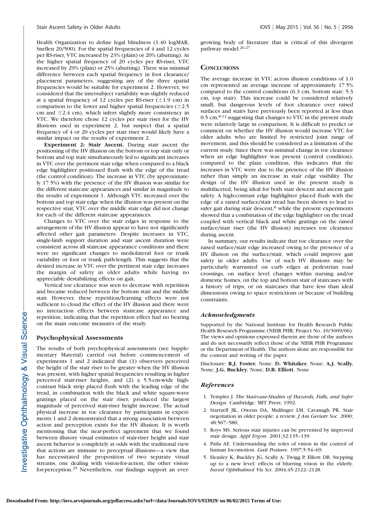Health Organization to define legal blindness (1.40 logMAR, Snellen 20/500). For the spatial frequencies of 4 and 12 cycles per RS-riser, VTC increased by 23% (plain) or 20% (abutting). At the higher spatial frequency of 20 cycles per RS-riser, VTC increased by 29% (plain) or 25% (abutting). There was minimal difference between each spatial frequency in foot clearance/ placement parameters, suggesting any of the three spatial frequencies would be suitable for experiment 2. However, we considered that the intersubject variability was slightly reduced at a spatial frequency of 12 cycles per RS-riser  $(\pm 1.9 \text{ cm})$  in comparison to the lower and higher spatial frequencies ( $\pm$ 2.5) cm and  $\pm 2.4$  cm), which infers slightly more consistency in VTC. We therefore chose 12 cycles per stair riser for the HV illusions used in experiment 2, but suspect that a spatial frequency of 4 or 20 cycles per stair riser would likely have a similar impact on the results of experiment 2.

Experiment 2: Stair Ascent. During stair ascent the positioning of the HV illusion on the bottom or top stair only or bottom and top stair simultaneously led to significant increases in VTC over the pertinent stair edge when compared to a black edge highlighter positioned flush with the edge of the tread (the control condition). The increase in VTC (by approximately 17.5%) with the presence of the HV illusion was similar for the different staircase appearances and similar in magnitude to the results of experiment 1. Although VTC increased over the bottom and top stair edge when the illusion was present on the respective stair, VTC over the middle stair edge did not change for each of the different staircase appearances.

Changes to VTC over the stair edges in response to the arrangement of the HV illusion appear to have not significantly affected other gait parameters. Despite increases in VTC, single-limb support duration and stair ascent duration were consistent across all staircase appearance conditions and there were no significant changes to mediolateral foot or trunk variability or foot or trunk path-length. This suggests that the desired increase in VTC over the pertinent stair edge increases the margin of safety in older adults while having no appreciable destabilizing effects on gait.

Vertical toe clearance was seen to decrease with repetition and became reduced between the bottom stair and the middle stair. However, these repetition/learning effects were not sufficient to cloud the effect of the HV illusion and there were no interaction effects between staircase appearance and repetition, indicating that the repetition effect had no bearing on the main outcome measures of the study.

## Psychophysical Assessments

The results of both psychophysical assessments (see Supplementary Material) carried out before commencement of experiments 1 and 2 indicated that (1) observers perceived the height of the stair riser to be greater when the HV illusion was present, with higher spatial frequencies resulting in higher perceived stair-riser heights, and (2) a 5.5-cm-wide highcontrast black strip placed flush with the leading edge of the tread, in combination with the black and white square-wave gratings placed on the stair riser, produced the largest magnitude of perceived stair-riser height increase. The actual physical increase in toe clearance by participants in experiments 1 and 2 demonstrated that a strong association between action and perception exists for the HV illusion. It is worth mentioning that the near-perfect agreement that we found between illusory visual estimates of stair-riser height and stair ascent behavior is completely at odds with the traditional view that actions are immune to perceptual illusions—a view that has necessitated the proposition of two separate visual streams, one dealing with vision-for-action, the other visionfor-perception.<sup>25</sup> Nevertheless, our findings support an evergrowing body of literature that is critical of this divergent pathway model.<sup>26,27</sup>

# **CONCLUSIONS**

The average increase in VTC across illusion conditions of 1.0 cm represented an average increase of approximately 17.5% compared to the control conditions (6.3 cm, bottom stair; 5.3 cm, top stair). This increase could be considered relatively small, but dangerous levels of foot clearance over raised surfaces and stairs have previously been reported at less than  $0.5$  cm,<sup>8,12</sup> suggesting that changes to VTC in the present study were relatively large in comparison. It is difficult to predict or comment on whether the HV illusion would increase VTC for older adults who are limited by restricted joint range of movement, and this should be considered as a limitation of the current study. Since there was minimal change in toe clearance when an edge highlighter was present (control condition), compared to the plain condition, this indicates that the increases in VTC were due to the presence of the HV illusion rather than simply an increase in stair edge visibility. The design of the HV illusion used in the present study is multifaceted, being ideal for both stair descent and ascent gait safety. A high-contrast edge highlighter placed flush with the edge of a raised surface/stair tread has been shown to lead to safer gait during stair descent,<sup>8</sup> while the present experiments showed that a combination of the edge highlighter on the tread coupled with vertical black and white gratings on the raised surface/stair riser (the HV illusion) increases toe clearance during ascent.

In summary, our results indicate that toe clearance over the raised surface/stair edge increased owing to the presence of a HV illusion on the surface/stair, which could improve gait safety in older adults. Use of such HV illusions may be particularly warranted on curb edges at pedestrian road crossings, on surface level changes within nursing and/or domestic homes, on the top and bottom stair of staircases with a history of trips, or on staircases that have less than ideal dimensions owing to space restrictions or because of building constraints.

# Acknowledgments

Supported by the National Institute for Health Research Public Health Research Programme (NIHR PHR; Project No. 10/3009/06). The views and opinions expressed therein are those of the authors and do not necessarily reflect those of the NIHR PHR Programme or the Department of Health. The authors alone are responsible for the content and writing of the paper.

Disclosure: R.J. Foster, None; D. Whitaker, None; A.J. Scally, None; J.G. Buckley, None; D.B. Elliott, None

## **References**

- 1. Templer J. The Staircase-Studies of Hazards, Falls, and Safer Design. Cambridge: MIT Press; 1992.
- 2. Startzell JK, Owens DA, Mulfinger LM, Cavanagh PR. Stair negotiation in older people: a review. J Am Geriatr Soc. 2000; 48:567–580.
- 3. Roys MS. Serious stair injuries can be prevented by improved stair design. Appl Ergon. 2001;32:135–139.
- 4. Patla AE. Understanding the roles of vision in the control of human locomotion. Gait Posture. 1997;5:54-69.
- 5. Heasley K, Buckley JG, Scally A, Twigg P, Elliott DB. Stepping up to a new level: effects of blurring vision in the elderly. Invest Ophthalmol Vis Sci. 2004;45:2122–2128.